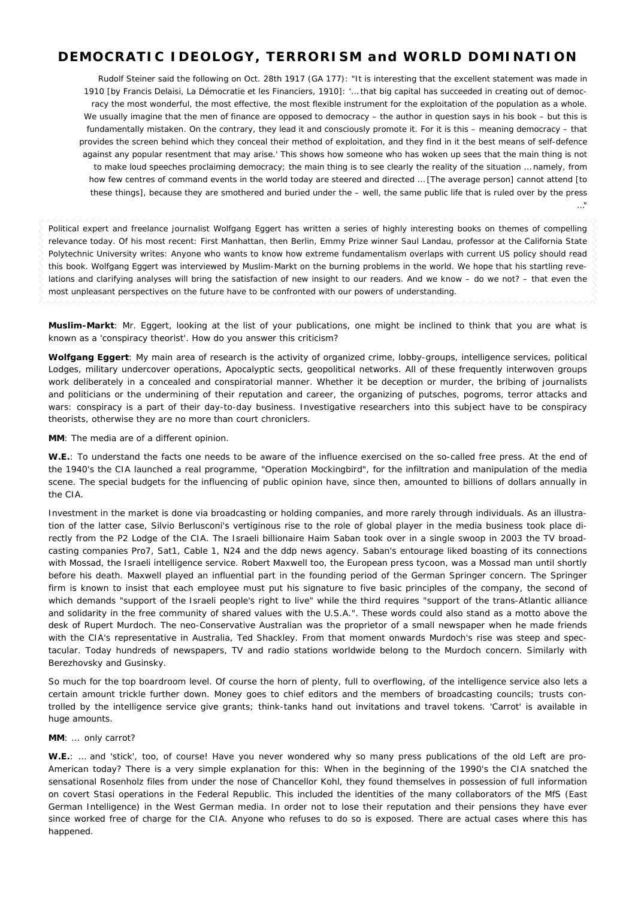# **DEMOCRATIC IDEOLOGY, TERRORISM and WORLD DOMINATION**

Rudolf Steiner said the following on Oct. 28th 1917 (GA 177): "It is interesting that the excellent statement was made in 1910 [by Francis Delaisi*, La Démocratie et les Financiers*, 1910]*: '… that big capital has succeeded in creating out of democ*racy the most wonderful, the most effective, the most flexible instrument for the exploitation of the population as a whole. *We usually imagine that the men of finance are opposed to democracy – the author in question says in his book – but this is fundamentally mistaken. On the contrary, they lead it and consciously promote it. For it is this –* meaning democracy *– that provides the screen behind which they conceal their method of exploitation, and they find in it the best means of self-defence against any popular resentment that may arise.'* This shows how someone who has woken up sees that the main thing is not to make loud speeches proclaiming democracy; the main thing is to see clearly the reality of the situation … namely, from how few centres of command events in the world today are steered and directed … [The average person] cannot attend [to these things], because they are smothered and buried under the – well, the same public life that is ruled over by the press

…"

Political expert and freelance journalist Wolfgang Eggert has written a series of highly interesting books on themes of compelling relevance today. Of his most recent: *First Manhattan, then Berlin*, Emmy Prize winner Saul Landau, professor at the California State Polytechnic University writes: *Anyone who wants to know how extreme fundamentalism overlaps with current US policy should read this book*. Wolfgang Eggert was interviewed by *Muslim-Markt* on the burning problems in the world. We hope that his startling revelations and clarifying analyses will bring the satisfaction of new insight to our readers. And we know – do we not? – that even the most unpleasant perspectives on the future have to be confronted with our powers of understanding.

*Muslim-Markt*: Mr. Eggert, looking at the list of your publications, one might be inclined to think that you are what is known as a 'conspiracy theorist'. How do you answer this criticism?

*Wolfgang Eggert*: My main area of research is the activity of organized crime, lobby-groups, intelligence services, political Lodges, military undercover operations, Apocalyptic sects, geopolitical networks. All of these frequently interwoven groups work deliberately in a concealed and conspiratorial manner. Whether it be deception or murder, the bribing of journalists and politicians or the undermining of their reputation and career, the organizing of putsches, pogroms, terror attacks and wars: conspiracy is a part of their day-to-day business. Investigative researchers into this subject have to be conspiracy theorists, otherwise they are no more than court chroniclers.

*MM*: The media are of a different opinion.

W.E.: To understand the facts one needs to be aware of the influence exercised on the so-called free press. At the end of the 1940's the CIA launched a real programme, "Operation Mockingbird", for the infiltration and manipulation of the media scene. The special budgets for the influencing of public opinion have, since then, amounted to billions of dollars annually in the CIA.

Investment in the market is done via broadcasting or holding companies, and more rarely through individuals. As an illustration of the latter case, Silvio Berlusconi's vertiginous rise to the role of global player in the media business took place directly from the P2 Lodge of the CIA. The Israeli billionaire Haim Saban took over in a single swoop in 2003 the TV broadcasting companies Pro7, Sat1, Cable 1, N24 and the ddp news agency. Saban's entourage liked boasting of its connections with Mossad, the Israeli intelligence service. Robert Maxwell too, the European press tycoon, was a Mossad man until shortly before his death. Maxwell played an influential part in the founding period of the German Springer concern. The Springer firm is known to insist that each employee must put his signature to five basic principles of the company, the second of which demands "support of the Israeli people's right to live" while the third requires "support of the trans-Atlantic alliance and solidarity in the free community of shared values with the U.S.A.". These words could also stand as a motto above the desk of Rupert Murdoch. The neo-Conservative Australian was the proprietor of a small newspaper when he made friends with the CIA's representative in Australia, Ted Shackley. From that moment onwards Murdoch's rise was steep and spectacular. Today hundreds of newspapers, TV and radio stations worldwide belong to the Murdoch concern. Similarly with Berezhovsky and Gusinsky.

So much for the top boardroom level. Of course the horn of plenty, full to overflowing, of the intelligence service also lets a certain amount trickle further down. Money goes to chief editors and the members of broadcasting councils; trusts controlled by the intelligence service give grants; think-tanks hand out invitations and travel tokens. 'Carrot' is available in huge amounts.

## *MM*: … only carrot?

W.E.: ... and 'stick', too, of course! Have you never wondered why so many press publications of the old Left are pro-American today? There is a very simple explanation for this: When in the beginning of the 1990's the CIA snatched the sensational Rosenholz files from under the nose of Chancellor Kohl, they found themselves in possession of full information on covert Stasi operations in the Federal Republic. This included the identities of the many collaborators of the MfS (East German Intelligence) in the West German media. In order not to lose their reputation and their pensions they have ever since worked free of charge for the CIA. Anyone who refuses to do so is exposed. There are actual cases where this has happened.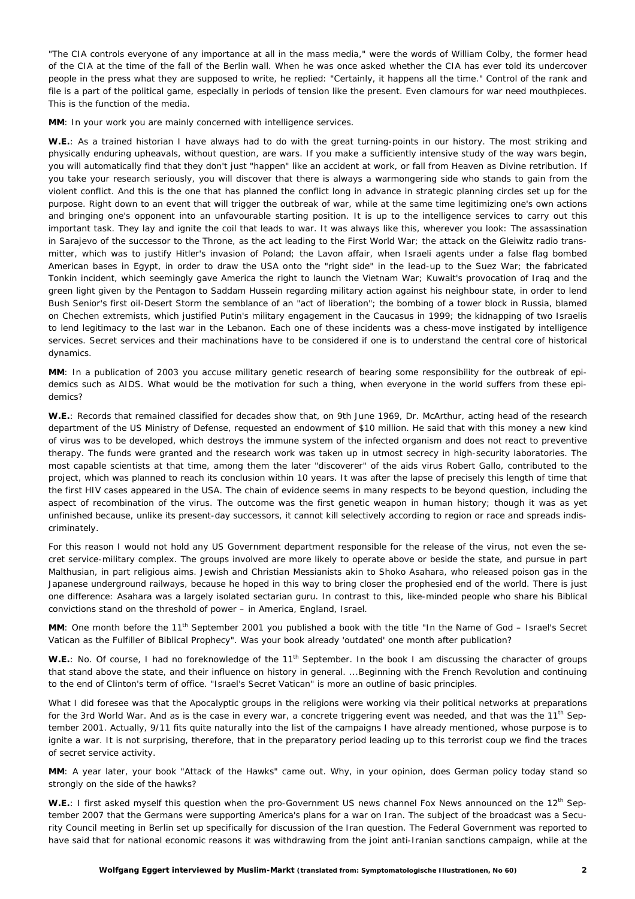"The CIA controls everyone of any importance at all in the mass media," were the words of William Colby, the former head of the CIA at the time of the fall of the Berlin wall. When he was once asked whether the CIA has ever told its undercover people in the press what they are supposed to write, he replied: "Certainly, it happens all the time." Control of the rank and file is a part of the political game, especially in periods of tension like the present. Even clamours for war need mouthpieces. This is the function of the media.

*MM*: In your work you are mainly concerned with intelligence services.

*W.E.*: As a trained historian I have always had to do with the great turning-points in our history. The most striking and physically enduring upheavals, without question, are wars. If you make a sufficiently intensive study of the way wars begin, you will automatically find that they don't just "happen" like an accident at work, or fall from Heaven as Divine retribution. If you take your research seriously, you will discover that there is always a warmongering side who stands to gain from the violent conflict. And this is the one that has planned the conflict long in advance in strategic planning circles set up for the purpose. Right down to an event that will trigger the outbreak of war, while at the same time legitimizing one's own actions and bringing one's opponent into an unfavourable starting position. It is up to the intelligence services to carry out this important task. They lay and ignite the coil that leads to war. It was always like this, wherever you look: The assassination in Sarajevo of the successor to the Throne, as the act leading to the First World War; the attack on the Gleiwitz radio transmitter, which was to justify Hitler's invasion of Poland; the Lavon affair, when Israeli agents under a false flag bombed American bases in Egypt, in order to draw the USA onto the "right side" in the lead-up to the Suez War; the fabricated Tonkin incident, which seemingly gave America the right to launch the Vietnam War; Kuwait's provocation of Iraq and the green light given by the Pentagon to Saddam Hussein regarding military action against his neighbour state, in order to lend Bush Senior's first oil-Desert Storm the semblance of an "act of liberation"; the bombing of a tower block in Russia, blamed on Chechen extremists, which justified Putin's military engagement in the Caucasus in 1999; the kidnapping of two Israelis to lend legitimacy to the last war in the Lebanon. Each one of these incidents was a chess-move instigated by intelligence services. Secret services and their machinations have to be considered if one is to understand the central core of historical dynamics.

*MM*: In a publication of 2003 you accuse military genetic research of bearing some responsibility for the outbreak of epidemics such as AIDS. What would be the motivation for such a thing, when everyone in the world suffers from these epidemics?

*W.E.*: Records that remained classified for decades show that, on 9th June 1969, Dr. McArthur, acting head of the research department of the US Ministry of Defense, requested an endowment of \$10 million. He said that with this money a new kind of virus was to be developed, which destroys the immune system of the infected organism and does not react to preventive therapy. The funds were granted and the research work was taken up in utmost secrecy in high-security laboratories. The most capable scientists at that time, among them the later "discoverer" of the aids virus Robert Gallo, contributed to the project, which was planned to reach its conclusion within 10 years. It was after the lapse of precisely this length of time that the first HIV cases appeared in the USA. The chain of evidence seems in many respects to be beyond question, including the aspect of recombination of the virus. The outcome was the first genetic weapon in human history; though it was as yet unfinished because, unlike its present-day successors, it cannot kill selectively according to region or race and spreads indiscriminately.

For this reason I would not hold any US Government department responsible for the release of the virus, not even the secret service-military complex. The groups involved are more likely to operate above or beside the state, and pursue in part Malthusian, in part religious aims. Jewish and Christian Messianists akin to Shoko Asahara, who released poison gas in the Japanese underground railways, because he hoped in this way to bring closer the prophesied end of the world. There is just one difference: Asahara was a largely isolated sectarian guru. In contrast to this, like-minded people who share his Biblical convictions stand on the threshold of power – in America, England, Israel.

MM: One month before the 11<sup>th</sup> September 2001 you published a book with the title "In the Name of God – Israel's Secret Vatican as the Fulfiller of Biblical Prophecy". Was your book already 'outdated' one month after publication?

W.E.: No. Of course, I had no foreknowledge of the 11<sup>th</sup> September. In the book I am discussing the character of groups that stand above the state, and their influence on history in general. ...Beginning with the French Revolution and continuing to the end of Clinton's term of office. "Israel's Secret Vatican" is more an outline of basic principles.

What I did foresee was that the Apocalyptic groups in the religions were working via their political networks at preparations for the 3rd World War. And as is the case in every war, a concrete triggering event was needed, and that was the 11<sup>th</sup> September 2001. Actually, 9/11 fits quite naturally into the list of the campaigns I have already mentioned, whose purpose is to ignite a war. It is not surprising, therefore, that in the preparatory period leading up to this terrorist coup we find the traces of secret service activity.

*MM*: A year later, your book "Attack of the Hawks" came out. Why, in your opinion, does German policy today stand so strongly on the side of the hawks?

W.E.: I first asked myself this question when the pro-Government US news channel Fox News announced on the 12<sup>th</sup> September 2007 that the Germans were supporting America's plans for a war on Iran. The subject of the broadcast was a Security Council meeting in Berlin set up specifically for discussion of the Iran question. The Federal Government was reported to have said that for national economic reasons it was withdrawing from the joint anti-Iranian sanctions campaign, while at the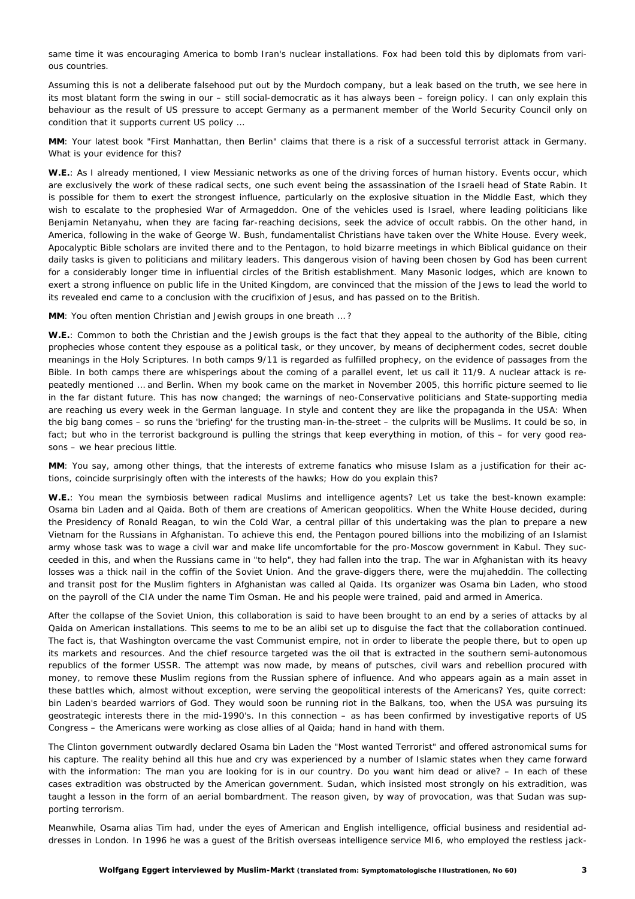same time it was encouraging America to bomb Iran's nuclear installations. Fox had been told this by diplomats from various countries.

Assuming this is not a deliberate falsehood put out by the Murdoch company, but a leak based on the truth, we see here in its most blatant form the swing in our – still social-democratic as it has always been – foreign policy. I can only explain this behaviour as the result of US pressure to accept Germany as a permanent member of the World Security Council only on condition that it supports current US policy …

*MM*: Your latest book "First Manhattan, then Berlin" claims that there is a risk of a successful terrorist attack in Germany. What is your evidence for this?

*W.E.*: As I already mentioned, I view Messianic networks as one of the driving forces of human history. Events occur, which are exclusively the work of these radical sects, one such event being the assassination of the Israeli head of State Rabin. It is possible for them to exert the strongest influence, particularly on the explosive situation in the Middle East, which they wish to escalate to the prophesied War of Armageddon. One of the vehicles used is Israel, where leading politicians like Benjamin Netanyahu, when they are facing far-reaching decisions, seek the advice of occult rabbis. On the other hand, in America, following in the wake of George W. Bush, fundamentalist Christians have taken over the White House. Every week, Apocalyptic Bible scholars are invited there and to the Pentagon, to hold bizarre meetings in which Biblical guidance on their daily tasks is given to politicians and military leaders. This dangerous vision of having been chosen by God has been current for a considerably longer time in influential circles of the British establishment. Many Masonic lodges, which are known to exert a strong influence on public life in the United Kingdom, are convinced that the mission of the Jews to lead the world to its revealed end came to a conclusion with the crucifixion of Jesus, and has passed on to the British.

*MM*: You often mention Christian and Jewish groups in one breath … ?

*W.E.*: Common to both the Christian and the Jewish groups is the fact that they appeal to the authority of the Bible, citing prophecies whose content they espouse as a political task, or they uncover, by means of decipherment codes, secret double meanings in the Holy Scriptures. In both camps 9/11 is regarded as fulfilled prophecy, on the evidence of passages from the Bible. In both camps there are whisperings about the coming of a parallel event, let us call it 11/9. A nuclear attack is repeatedly mentioned … and Berlin. When my book came on the market in November 2005, this horrific picture seemed to lie in the far distant future. This has now changed; the warnings of neo-Conservative politicians and State-supporting media are reaching us every week in the German language. In style and content they are like the propaganda in the USA: When the big bang comes – so runs the 'briefing' for the trusting man-in-the-street – the culprits will be Muslims. It could be so, in fact; but who in the terrorist background is pulling the strings that keep everything in motion, of this – for very good reasons – we hear precious little.

*MM*: You say, among other things, that the interests of extreme fanatics who misuse Islam as a justification for their actions, coincide surprisingly often with the interests of the hawks; How do you explain this?

*W.E.*: You mean the symbiosis between radical Muslims and intelligence agents? Let us take the best-known example: Osama bin Laden and al Qaida. Both of them are creations of American geopolitics. When the White House decided, during the Presidency of Ronald Reagan, to win the Cold War, a central pillar of this undertaking was the plan to prepare a new Vietnam for the Russians in Afghanistan. To achieve this end, the Pentagon poured billions into the mobilizing of an Islamist army whose task was to wage a civil war and make life uncomfortable for the pro-Moscow government in Kabul. They succeeded in this, and when the Russians came in "to help", they had fallen into the trap. The war in Afghanistan with its heavy losses was a thick nail in the coffin of the Soviet Union. And the grave-diggers there, were the mujaheddin. The collecting and transit post for the Muslim fighters in Afghanistan was called al Qaida. Its organizer was Osama bin Laden, who stood on the payroll of the CIA under the name Tim Osman. He and his people were trained, paid and armed in America.

After the collapse of the Soviet Union, this collaboration is said to have been brought to an end by a series of attacks by al Qaida on American installations. This seems to me to be an alibi set up to disguise the fact that the collaboration continued. The fact is, that Washington overcame the vast Communist empire, not in order to liberate the people there, but to open up its markets and resources. And the chief resource targeted was the oil that is extracted in the southern semi-autonomous republics of the former USSR. The attempt was now made, by means of putsches, civil wars and rebellion procured with money, to remove these Muslim regions from the Russian sphere of influence. And who appears again as a main asset in these battles which, almost without exception, were serving the geopolitical interests of the Americans? Yes, quite correct: bin Laden's bearded warriors of God. They would soon be running riot in the Balkans, too, when the USA was pursuing its geostrategic interests there in the mid-1990's. In this connection – as has been confirmed by investigative reports of US Congress – the Americans were working as close allies of al Qaida; hand in hand with them.

The Clinton government outwardly declared Osama bin Laden the "Most wanted Terrorist" and offered astronomical sums for his capture. The reality behind all this hue and cry was experienced by a number of Islamic states when they came forward with the information: The man you are looking for is in our country. Do you want him dead or alive? – In each of these cases extradition was obstructed by the American government. Sudan, which insisted most strongly on his extradition, was taught a lesson in the form of an aerial bombardment. The reason given, by way of provocation, was that Sudan was supporting terrorism.

Meanwhile, Osama alias Tim had, under the eyes of American and English intelligence, official business and residential addresses in London. In 1996 he was a guest of the British overseas intelligence service MI6, who employed the restless jack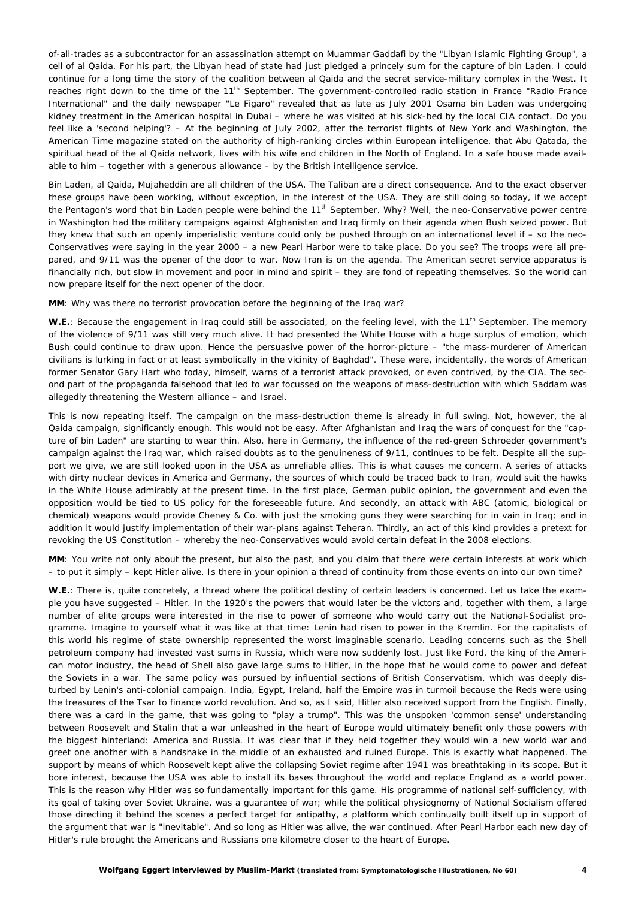of-all-trades as a subcontractor for an assassination attempt on Muammar Gaddafi by the "Libyan Islamic Fighting Group", a cell of al Qaida. For his part, the Libyan head of state had just pledged a princely sum for the capture of bin Laden. I could continue for a long time the story of the coalition between al Qaida and the secret service-military complex in the West. It reaches right down to the time of the 11<sup>th</sup> September. The government-controlled radio station in France "Radio France International" and the daily newspaper "Le Figaro" revealed that as late as July 2001 Osama bin Laden was undergoing kidney treatment in the American hospital in Dubai – where he was visited at his sick-bed by the local CIA contact. Do you feel like a 'second helping'? – At the beginning of July 2002, after the terrorist flights of New York and Washington, the American Time magazine stated on the authority of high-ranking circles within European intelligence, that Abu Qatada, the spiritual head of the al Qaida network, lives with his wife and children in the North of England. In a safe house made available to him – together with a generous allowance – by the British intelligence service.

Bin Laden, al Qaida, Mujaheddin are all children of the USA. The Taliban are a direct consequence. And to the exact observer these groups have been working, without exception, in the interest of the USA. They are still doing so today, if we accept the Pentagon's word that bin Laden people were behind the 11<sup>th</sup> September. Why? Well, the neo-Conservative power centre in Washington had the military campaigns against Afghanistan and Iraq firmly on their agenda when Bush seized power. But they knew that such an openly imperialistic venture could only be pushed through on an international level if – so the neo-Conservatives were saying in the year 2000 – a new Pearl Harbor were to take place. Do you see? The troops were all prepared, and 9/11 was the opener of the door to war. Now Iran is on the agenda. The American secret service apparatus is financially rich, but slow in movement and poor in mind and spirit – they are fond of repeating themselves. So the world can now prepare itself for the next opener of the door.

**MM:** Why was there no terrorist provocation before the beginning of the Iraq war?

W.E.: Because the engagement in Iraq could still be associated, on the feeling level, with the 11<sup>th</sup> September. The memory of the violence of 9/11 was still very much alive. It had presented the White House with a huge surplus of emotion, which Bush could continue to draw upon. Hence the persuasive power of the horror-picture – "the mass-murderer of American civilians is lurking in fact or at least symbolically in the vicinity of Baghdad". These were, incidentally, the words of American former Senator Gary Hart who today, himself, warns of a terrorist attack provoked, or even contrived, by the CIA. The second part of the propaganda falsehood that led to war focussed on the weapons of mass-destruction with which Saddam was allegedly threatening the Western alliance – and Israel.

This is now repeating itself. The campaign on the mass-destruction theme is already in full swing. Not, however, the al Qaida campaign, significantly enough. This would not be easy. After Afghanistan and Iraq the wars of conquest for the "capture of bin Laden" are starting to wear thin. Also, here in Germany, the influence of the red-green Schroeder government's campaign against the Iraq war, which raised doubts as to the genuineness of 9/11, continues to be felt. Despite all the support we give, we are still looked upon in the USA as unreliable allies. This is what causes me concern. A series of attacks with dirty nuclear devices in America and Germany, the sources of which could be traced back to Iran, would suit the hawks in the White House admirably at the present time. In the first place, German public opinion, the government and even the opposition would be tied to US policy for the foreseeable future. And secondly, an attack with ABC (atomic, biological or chemical) weapons would provide Cheney & Co. with just the smoking guns they were searching for in vain in Iraq; and in addition it would justify implementation of their war-plans against Teheran. Thirdly, an act of this kind provides a pretext for revoking the US Constitution – whereby the neo-Conservatives would avoid certain defeat in the 2008 elections.

*MM*: You write not only about the present, but also the past, and you claim that there were certain interests at work which – to put it simply – kept Hitler alive. Is there in your opinion a thread of continuity from those events on into our own time?

W.E.: There is, quite concretely, a thread where the political destiny of certain leaders is concerned. Let us take the example you have suggested – Hitler. In the 1920's the powers that would later be the victors and, together with them, a large number of elite groups were interested in the rise to power of someone who would carry out the National-Socialist programme. Imagine to yourself what it was like at that time: Lenin had risen to power in the Kremlin. For the capitalists of this world his regime of state ownership represented the worst imaginable scenario. Leading concerns such as the Shell petroleum company had invested vast sums in Russia, which were now suddenly lost. Just like Ford, the king of the American motor industry, the head of Shell also gave large sums to Hitler, in the hope that he would come to power and defeat the Soviets in a war. The same policy was pursued by influential sections of British Conservatism, which was deeply disturbed by Lenin's anti-colonial campaign. India, Egypt, Ireland, half the Empire was in turmoil because the Reds were using the treasures of the Tsar to finance world revolution. And so, as I said, Hitler also received support from the English. Finally, there was a card in the game, that was going to "play a trump". This was the unspoken 'common sense' understanding between Roosevelt and Stalin that a war unleashed in the heart of Europe would ultimately benefit only those powers with the biggest hinterland: America and Russia. It was clear that if they held together they would win a new world war and greet one another with a handshake in the middle of an exhausted and ruined Europe. This is exactly what happened. The support by means of which Roosevelt kept alive the collapsing Soviet regime after 1941 was breathtaking in its scope. But it bore interest, because the USA was able to install its bases throughout the world and replace England as a world power. This is the reason why Hitler was so fundamentally important for this game. His programme of national self-sufficiency, with its goal of taking over Soviet Ukraine, was a guarantee of war; while the political physiognomy of National Socialism offered those directing it behind the scenes a perfect target for antipathy, a platform which continually built itself up in support of the argument that war is "inevitable". And so long as Hitler was alive, the war continued. After Pearl Harbor each new day of Hitler's rule brought the Americans and Russians one kilometre closer to the heart of Europe.